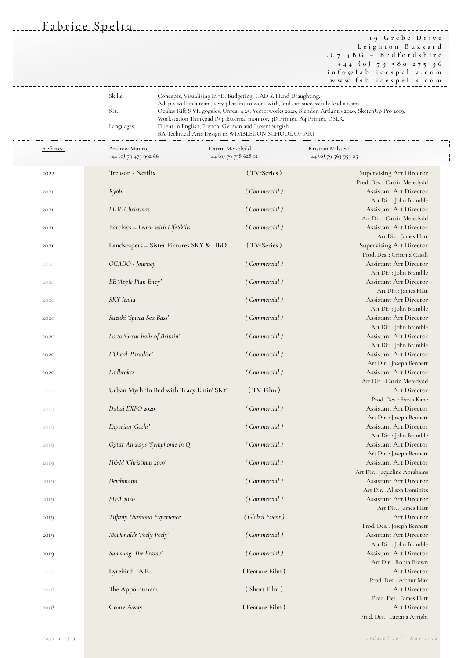Fabrice Spelta

**1 9 G r e b e D r i v e L e i g h t o n B u z z a r d L U 7 4 B G – B e d f o r d s h i r e + 4 4 ( 0 ) 7 9 5 8 0 2 7 5 9 6 i n f o @ f a b r i c e s p e l t a . c o m w w w . f a b r i c e s p e l t a . c o m**

| Skills:    | Concepts, Visualising in 3D, Budgeting, CAD & Hand Draughting.                                       |
|------------|------------------------------------------------------------------------------------------------------|
|            | Adapts well in a team, very pleasant to work with, and can successfully lead a team.                 |
| Kit:       | Oculus Rift S VR goggles, Unreal 4.25, Vectorworks 2020, Blender, Artlantis 2020, SketchUp Pro 2019. |
|            | Workstation Thinkpad P53, External monitor, 3D Printer, A4 Printer, DSLR.                            |
| Languages: | Fluent in English, French, German and Luxemburgish.                                                  |
|            | BA Technical Arts Design in WIMBLEDON SCHOOL OF ART                                                  |

| Referees:   | Andrew Munro<br>+44 (0) 79 473 992 66   | Catrin Meredydd<br>+44 (0) 79 738 628 12 | Kristian Milstead<br>+44 (0) 79 563 955 05                      |  |
|-------------|-----------------------------------------|------------------------------------------|-----------------------------------------------------------------|--|
| 2022        | Treason - Netflix                       | (TV-Series)                              | <b>Supervising Art Director</b>                                 |  |
|             |                                         |                                          | Prod. Des. : Catrin Meredydd                                    |  |
| 202I        | Ryobi                                   | (Commercial)                             | <b>Assistant Art Director</b>                                   |  |
|             |                                         |                                          | Art Dir. : John Bramble                                         |  |
| <b>2021</b> | LIDL Christmas                          | (Commercial)                             | <b>Assistant Art Director</b>                                   |  |
|             |                                         |                                          | Art Dir. : Catrin Meredydd                                      |  |
| <b>2021</b> | Barclays - Learn with LifeSkills        | (Commercial)                             | <b>Assistant Art Director</b><br>Art Dir. : James Hatt          |  |
| 202I        | Landscapers - Sister Pictures SKY & HBO | (TV-Series)                              | <b>Supervising Art Director</b><br>Prod. Des. : Cristina Casali |  |
| 2020        | OCADO - Journey                         | (Commercial)                             | <b>Assistant Art Director</b>                                   |  |
|             |                                         |                                          | Art Dir. : John Bramble                                         |  |
| 2020        | EE 'Apple Plan Envy'                    | (Commercial)                             | <b>Assistant Art Director</b>                                   |  |
|             | SKY Italia                              | (Commercial)                             | Art Dir. : James Hatt                                           |  |
| 2020        |                                         |                                          | <b>Assistant Art Director</b><br>Art Dir. : John Bramble        |  |
|             | Suzuki 'Spiced Sea Bass'                | (Commercial)                             | Assistant Art Director                                          |  |
| 2020        |                                         |                                          | Art Dir. : John Bramble                                         |  |
|             | Lotto 'Great balls of Britain'          | (Commercial)                             | <b>Assistant Art Director</b>                                   |  |
| 2020        |                                         |                                          | Art Dir. : John Bramble                                         |  |
| 2020        | L'Oreal 'Paradise'                      | (Commercial)                             | <b>Assistant Art Director</b>                                   |  |
|             |                                         |                                          | Art Dir. : Joseph Bennett                                       |  |
| 2020        | Ladbrokes                               | (Commercial)                             | Assistant Art Director                                          |  |
|             |                                         |                                          | Art Dir. : Catrin Meredydd                                      |  |
| 2019        | Urban Myth 'In Bed with Tracy Emin' SKY | $(TV-Film)$                              | Art Director                                                    |  |
|             |                                         |                                          | Prod. Des.: Sarah Kane                                          |  |
| 2019        | Dubai EXPO 2020                         | (Commercial)                             | <b>Assistant Art Director</b>                                   |  |
|             |                                         |                                          | Art Dir. : Joseph Bennett                                       |  |
| 2019        | Experian 'Goths'                        | (Commercial)                             | <b>Assistant Art Director</b>                                   |  |
|             |                                         |                                          | Art Dir. : John Bramble                                         |  |
| 2019        | Qatar Airways 'Symphonie in Q'          | (Commercial)                             | <b>Assistant Art Director</b>                                   |  |
|             |                                         |                                          | Art Dir. : Joseph Bennett                                       |  |
| 2019        | H&M 'Christmas 2019'                    | (Commercial)                             | <b>Assistant Art Director</b>                                   |  |
|             |                                         |                                          | Art Dir. : Jaqueline Abrahams                                   |  |
| 2019        | Deichmann                               | (Commercial)                             | <b>Assistant Art Director</b>                                   |  |
|             |                                         |                                          | Art Dir.: Alison Dominitz                                       |  |
| 2019        | FIFA 2020                               | (Commercial)                             | <b>Assistant Art Director</b>                                   |  |
|             |                                         |                                          | Art Dir. : James Hatt                                           |  |
| 2019        | Tiffany Diamond Experience              | (Global Event)                           | Art Director                                                    |  |
|             |                                         |                                          | Prod. Des. : Joseph Bennett                                     |  |
| 2019        | McDonalds 'Peely Peely'                 | (Commercial)                             | <b>Assistant Art Director</b>                                   |  |
|             |                                         |                                          | Art Dir.: John Bramble                                          |  |
| 2019        | Samsung 'The Frame'                     | (Commercial)                             | <b>Assistant Art Director</b><br>Art Dir.: Robin Brown          |  |
| 2018        | Lyrebird - A.P.                         | (Feature Film)                           | Art Director                                                    |  |
|             |                                         |                                          | Prod. Des. : Arthur Max                                         |  |
| 2018        | The Appointment                         | (Short Film)                             | Art Director                                                    |  |
|             |                                         |                                          | Prod. Des. : James Hatt                                         |  |
| 2018        | Come Away                               | (Feature Film)                           | Art Director                                                    |  |
|             |                                         |                                          | Prod. Des. : Luciana Arrighi                                    |  |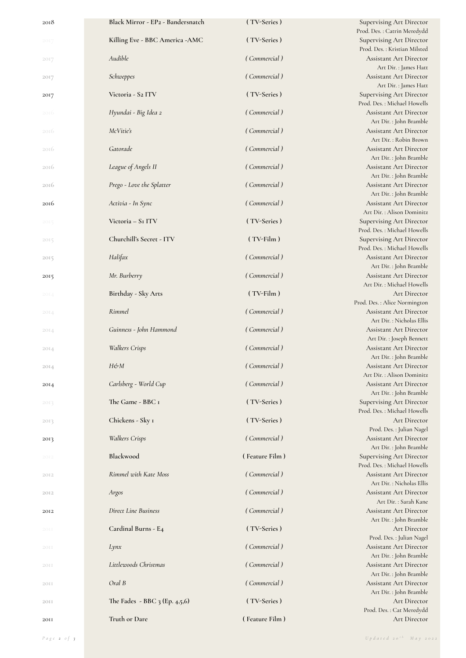| 2018 | Black Mirror - EP2 - Bandersnatch | (TV-Series)        | <b>Supervising Art Director</b><br>Prod. Des. : Catrin Meredydd                        |
|------|-----------------------------------|--------------------|----------------------------------------------------------------------------------------|
| 2017 | Killing Eve - BBC America - AMC   | (TV-Series)        | <b>Supervising Art Director</b><br>Prod. Des.: Kristian Milsted                        |
| 2017 | Audible                           | (Commercial)       | <b>Assistant Art Director</b><br>Art Dir. : James Hatt                                 |
| 2017 | Schweppes                         | (Commercial)       | <b>Assistant Art Director</b><br>Art Dir. : James Hatt                                 |
| 2017 | Victoria - S2 ITV                 | (TV-Series)        | <b>Supervising Art Director</b><br>Prod. Des.: Michael Howells                         |
| 2016 | Hyundai - Big Idea 2              | (Commercial)       | <b>Assistant Art Director</b>                                                          |
| 2016 | McVitie's                         | (Commercial)       | Art Dir. : John Bramble<br><b>Assistant Art Director</b>                               |
| 2016 | Gatorade                          | (Commercial)       | Art Dir.: Robin Brown<br><b>Assistant Art Director</b>                                 |
| 2016 | League of Angels II               | (Commercial)       | Art Dir. : John Bramble<br><b>Assistant Art Director</b>                               |
| 2016 | Prego - Love the Splatter         | (Commercial)       | Art Dir. : John Bramble<br><b>Assistant Art Director</b>                               |
| 2016 | Activia - In Sync                 | (Commercial)       | Art Dir. : John Bramble<br><b>Assistant Art Director</b><br>Art Dir. : Alison Dominitz |
| 2015 | Victoria - SI ITV                 | (TV-Series)        | <b>Supervising Art Director</b><br>Prod. Des.: Michael Howells                         |
| 2015 | Churchill's Secret - ITV          | $(TV\text{-Film})$ | <b>Supervising Art Director</b><br>Prod. Des.: Michael Howells                         |
| 2015 | Halifax                           | (Commercial)       | Assistant Art Director                                                                 |
| 2015 | Mr. Burberry                      | (Commercial)       | Art Dir. : John Bramble<br><b>Assistant Art Director</b>                               |
| 2014 | Birthday - Sky Arts               | $(TV\text{-Film})$ | Art Dir.: Michael Howells<br>Art Director                                              |
| 2014 | Rimmel                            | (Commercial)       | Prod. Des. : Alice Normington<br><b>Assistant Art Director</b>                         |
| 2014 | Guinness - John Hammond           | (Commercial)       | Art Dir. : Nicholas Ellis<br><b>Assistant Art Director</b>                             |
| 2014 | <b>Walkers Crisps</b>             | (Commercial)       | Art Dir. : Joseph Bennett<br>Assistant Art Director                                    |
| 2014 | H&M                               | (Commercial)       | Art Dir. : John Bramble<br><b>Assistant Art Director</b>                               |
| 2014 | Carlsberg - World Cup             | (Commercial)       | Art Dir. : Alison Dominitz<br><b>Assistant Art Director</b>                            |
| 2013 | The Game - BBC I                  | (TV-Series)        | Art Dir. : John Bramble<br><b>Supervising Art Director</b>                             |
| 2013 | Chickens - Sky 1                  | (TV-Series)        | Prod. Des.: Michael Howells<br><b>Art Director</b>                                     |
| 2013 | <b>Walkers Crisps</b>             | (Commercial)       | Prod. Des. : Julian Nagel<br><b>Assistant Art Director</b>                             |
| 2012 | Blackwood                         | (Feature Film)     | Art Dir. : John Bramble<br><b>Supervising Art Director</b>                             |
| 2012 | Rimmel with Kate Moss             | (Commercial)       | Prod. Des.: Michael Howells<br><b>Assistant Art Director</b>                           |
| 2012 | Argos                             | (Commercial)       | Art Dir.: Nicholas Ellis<br><b>Assistant Art Director</b>                              |
| 2012 | Direct Line Business              | (Commercial)       | Art Dir. : Sarah Kane<br><b>Assistant Art Director</b>                                 |
| 20II | Cardinal Burns - E4               | (TV-Series)        | Art Dir. : John Bramble<br>Art Director                                                |
| 20II | Lynx                              | (Commercial)       | Prod. Des. : Julian Nagel<br><b>Assistant Art Director</b>                             |
| 20II | Littlewoods Christmas             | (Commercial)       | Art Dir. : John Bramble<br><b>Assistant Art Director</b>                               |
| 20II | Oral B                            | (Commercial)       | Art Dir. : John Bramble<br><b>Assistant Art Director</b>                               |
| 20II | The Fades - BBC 3 (Ep. 4,5,6)     | (TV-Series)        | Art Dir. : John Bramble<br><b>Art Director</b>                                         |
| 20II | Truth or Dare                     | (Feature Film)     | Prod. Des.: Cat Meredydd<br>Art Director                                               |